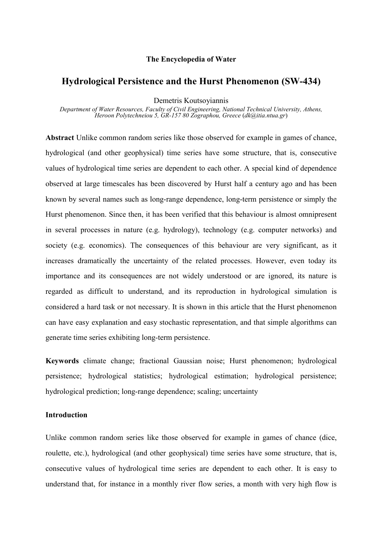## **The Encyclopedia of Water**

# **Hydrological Persistence and the Hurst Phenomenon (SW-434)**

Demetris Koutsoyiannis

*Department of Water Resources, Faculty of Civil Engineering, National Technical University, Athens, Heroon Polytechneiou 5, GR-157 80 Zographou, Greece* (*dk@itia.ntua.gr*)

**Abstract** Unlike common random series like those observed for example in games of chance, hydrological (and other geophysical) time series have some structure, that is, consecutive values of hydrological time series are dependent to each other. A special kind of dependence observed at large timescales has been discovered by Hurst half a century ago and has been known by several names such as long-range dependence, long-term persistence or simply the Hurst phenomenon. Since then, it has been verified that this behaviour is almost omnipresent in several processes in nature (e.g. hydrology), technology (e.g. computer networks) and society (e.g. economics). The consequences of this behaviour are very significant, as it increases dramatically the uncertainty of the related processes. However, even today its importance and its consequences are not widely understood or are ignored, its nature is regarded as difficult to understand, and its reproduction in hydrological simulation is considered a hard task or not necessary. It is shown in this article that the Hurst phenomenon can have easy explanation and easy stochastic representation, and that simple algorithms can generate time series exhibiting long-term persistence.

**Keywords** climate change; fractional Gaussian noise; Hurst phenomenon; hydrological persistence; hydrological statistics; hydrological estimation; hydrological persistence; hydrological prediction; long-range dependence; scaling; uncertainty

## **Introduction**

Unlike common random series like those observed for example in games of chance (dice, roulette, etc.), hydrological (and other geophysical) time series have some structure, that is, consecutive values of hydrological time series are dependent to each other. It is easy to understand that, for instance in a monthly river flow series, a month with very high flow is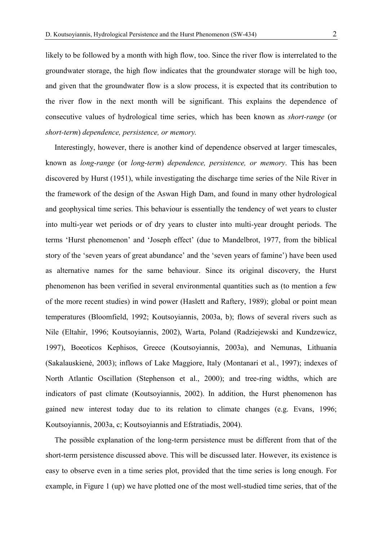likely to be followed by a month with high flow, too. Since the river flow is interrelated to the groundwater storage, the high flow indicates that the groundwater storage will be high too, and given that the groundwater flow is a slow process, it is expected that its contribution to the river flow in the next month will be significant. This explains the dependence of consecutive values of hydrological time series, which has been known as *short-range* (or *short-term*) *dependence, persistence, or memory.*

 Interestingly, however, there is another kind of dependence observed at larger timescales, known as *long-range* (or *long-term*) *dependence, persistence, or memory*. This has been discovered by Hurst (1951), while investigating the discharge time series of the Nile River in the framework of the design of the Aswan High Dam, and found in many other hydrological and geophysical time series. This behaviour is essentially the tendency of wet years to cluster into multi-year wet periods or of dry years to cluster into multi-year drought periods. The terms 'Hurst phenomenon' and 'Joseph effect' (due to Mandelbrot, 1977, from the biblical story of the 'seven years of great abundance' and the 'seven years of famine') have been used as alternative names for the same behaviour. Since its original discovery, the Hurst phenomenon has been verified in several environmental quantities such as (to mention a few of the more recent studies) in wind power (Haslett and Raftery, 1989); global or point mean temperatures (Bloomfield, 1992; Koutsoyiannis, 2003a, b); flows of several rivers such as Nile (Eltahir, 1996; Koutsoyiannis, 2002), Warta, Poland (Radziejewski and Kundzewicz, 1997), Boeoticos Kephisos, Greece (Koutsoyiannis, 2003a), and Nemunas, Lithuania (Sakalauskienė, 2003); inflows of Lake Maggiore, Italy (Montanari et al., 1997); indexes of North Atlantic Oscillation (Stephenson et al., 2000); and tree-ring widths, which are indicators of past climate (Koutsoyiannis, 2002). In addition, the Hurst phenomenon has gained new interest today due to its relation to climate changes (e.g. Evans, 1996; Koutsoyiannis, 2003a, c; Koutsoyiannis and Efstratiadis, 2004).

 The possible explanation of the long-term persistence must be different from that of the short-term persistence discussed above. This will be discussed later. However, its existence is easy to observe even in a time series plot, provided that the time series is long enough. For example, in Figure 1 (up) we have plotted one of the most well-studied time series, that of the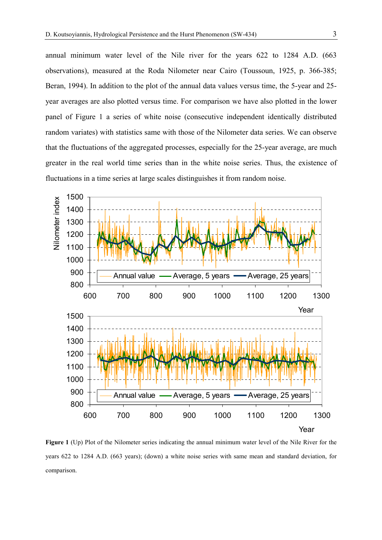annual minimum water level of the Nile river for the years 622 to 1284 A.D. (663 observations), measured at the Roda Nilometer near Cairo (Toussoun, 1925, p. 366-385; Beran, 1994). In addition to the plot of the annual data values versus time, the 5-year and 25 year averages are also plotted versus time. For comparison we have also plotted in the lower panel of Figure 1 a series of white noise (consecutive independent identically distributed random variates) with statistics same with those of the Nilometer data series. We can observe that the fluctuations of the aggregated processes, especially for the 25-year average, are much greater in the real world time series than in the white noise series. Thus, the existence of fluctuations in a time series at large scales distinguishes it from random noise.



**Figure 1** (Up) Plot of the Nilometer series indicating the annual minimum water level of the Nile River for the years 622 to 1284 A.D. (663 years); (down) a white noise series with same mean and standard deviation, for comparison.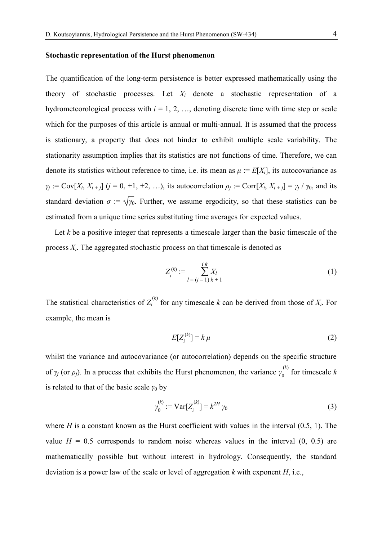#### **Stochastic representation of the Hurst phenomenon**

The quantification of the long-term persistence is better expressed mathematically using the theory of stochastic processes. Let *Xi* denote a stochastic representation of a hydrometeorological process with  $i = 1, 2, \ldots$ , denoting discrete time with time step or scale which for the purposes of this article is annual or multi-annual. It is assumed that the process is stationary, a property that does not hinder to exhibit multiple scale variability. The stationarity assumption implies that its statistics are not functions of time. Therefore, we can denote its statistics without reference to time, i.e. its mean as  $\mu := E[X_i]$ , its autocovariance as  $\gamma_i := \text{Cov}[X_i, X_{i+1}]$  (*j* = 0, ±1, ±2, …), its autocorrelation  $\rho_i := \text{Corr}[X_i, X_{i+1}] = \gamma_i / \gamma_0$ , and its standard deviation  $\sigma := \sqrt{\gamma_0}$ . Further, we assume ergodicity, so that these statistics can be estimated from a unique time series substituting time averages for expected values.

Let *k* be a positive integer that represents a timescale larger than the basic timescale of the process  $X_i$ . The aggregated stochastic process on that timescale is denoted as

$$
Z_i^{(k)} := \sum_{l = (i-1) \, k+1}^{i \, k} X_l \tag{1}
$$

The statistical characteristics of  $Z_i^{(k)}$  for any timescale k can be derived from those of  $X_i$ . For example, the mean is

$$
E[Z_i^{(k)}] = k \mu \tag{2}
$$

whilst the variance and autocovariance (or autocorrelation) depends on the specific structure of  $\gamma_j$  (or  $\rho_j$ ). In a process that exhibits the Hurst phenomenon, the variance  $\gamma_0^{(k)}$  for timescale *k* is related to that of the basic scale  $\gamma_0$  by

$$
\gamma_0^{(k)} := \text{Var}[Z_i^{(k)}] = k^{2H} \gamma_0 \tag{3}
$$

where  $H$  is a constant known as the Hurst coefficient with values in the interval  $(0.5, 1)$ . The value  $H = 0.5$  corresponds to random noise whereas values in the interval  $(0, 0.5)$  are mathematically possible but without interest in hydrology. Consequently, the standard deviation is a power law of the scale or level of aggregation *k* with exponent *H*, i.e.,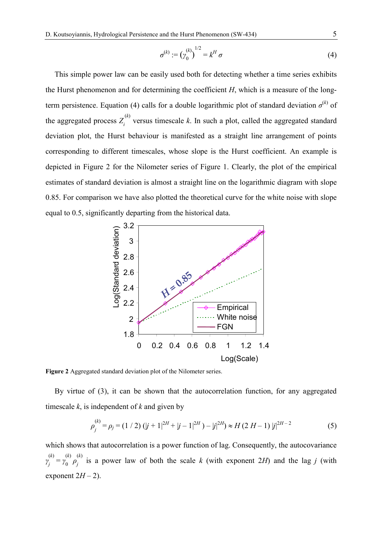$$
\sigma^{(k)} := (\gamma_0^{(k)})^{1/2} = k^H \sigma
$$
 (4)

 This simple power law can be easily used both for detecting whether a time series exhibits the Hurst phenomenon and for determining the coefficient *H*, which is a measure of the longterm persistence. Equation (4) calls for a double logarithmic plot of standard deviation  $\sigma^{(k)}$  of the aggregated process  $Z_i^{(k)}$  versus timescale k. In such a plot, called the aggregated standard deviation plot, the Hurst behaviour is manifested as a straight line arrangement of points corresponding to different timescales, whose slope is the Hurst coefficient. An example is depicted in Figure 2 for the Nilometer series of Figure 1. Clearly, the plot of the empirical estimates of standard deviation is almost a straight line on the logarithmic diagram with slope 0.85. For comparison we have also plotted the theoretical curve for the white noise with slope equal to 0.5, significantly departing from the historical data.



**Figure 2** Aggregated standard deviation plot of the Nilometer series.

 By virtue of (3), it can be shown that the autocorrelation function, for any aggregated timescale *k*, is independent of *k* and given by

$$
\rho_j^{(k)} = \rho_j = (1/2) (|j+1|^{2H} + |j-1|^{2H}) - |j|^{2H} \approx H (2|H-1) |j|^{2H-2}
$$
\n(5)

which shows that autocorrelation is a power function of lag. Consequently, the autocovariance  $\gamma_j^{(k)} = \gamma_0^{(k)} \rho_j^{(k)}$  is a power law of both the scale *k* (with exponent 2*H*) and the lag *j* (with exponent  $2H - 2$ ).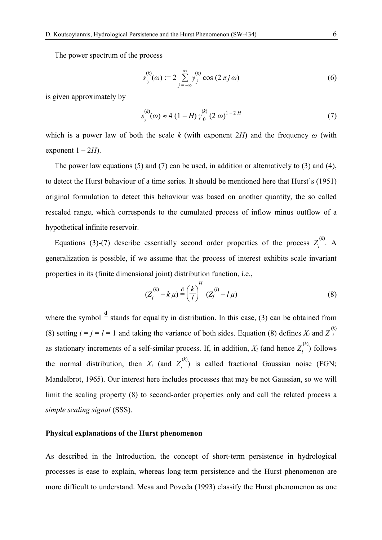The power spectrum of the process

$$
s_{\gamma}^{(k)}(\omega) := 2 \sum_{j=-\infty}^{\infty} \gamma_j^{(k)} \cos(2\pi j \omega)
$$
 (6)

is given approximately by

$$
s_{\gamma}^{(k)}(\omega) \approx 4 (1 - H) \gamma_0^{(k)} (2 \omega)^{1 - 2H}
$$
 (7)

which is a power law of both the scale *k* (with exponent 2*H*) and the frequency *ω* (with exponent  $1 - 2H$ ).

The power law equations (5) and (7) can be used, in addition or alternatively to (3) and (4), to detect the Hurst behaviour of a time series. It should be mentioned here that Hurst's (1951) original formulation to detect this behaviour was based on another quantity, the so called rescaled range, which corresponds to the cumulated process of inflow minus outflow of a hypothetical infinite reservoir.

Equations (3)-(7) describe essentially second order properties of the process  $Z_i^{(k)}$ . A generalization is possible, if we assume that the process of interest exhibits scale invariant properties in its (finite dimensional joint) distribution function, i.e.,

$$
(Z_i^{(k)} - k \mu) \stackrel{\text{d}}{=} \left(\frac{k}{l}\right)^H (Z_j^{(l)} - l \mu) \tag{8}
$$

where the symbol  $\stackrel{d}{=}$  stands for equality in distribution. In this case, (3) can be obtained from (8) setting  $i = j = l = 1$  and taking the variance of both sides. Equation (8) defines  $X_i$  and  $Z_i^{(k)}$ *i* as stationary increments of a self-similar process. If, in addition,  $X_i$  (and hence  $Z_i^{(k)}$ ) follows the normal distribution, then  $X_i$  (and  $Z_i^{(k)}$ ) is called fractional Gaussian noise (FGN; Mandelbrot, 1965). Our interest here includes processes that may be not Gaussian, so we will limit the scaling property (8) to second-order properties only and call the related process a *simple scaling signal* (SSS).

## **Physical explanations of the Hurst phenomenon**

As described in the Introduction, the concept of short-term persistence in hydrological processes is ease to explain, whereas long-term persistence and the Hurst phenomenon are more difficult to understand. Mesa and Poveda (1993) classify the Hurst phenomenon as one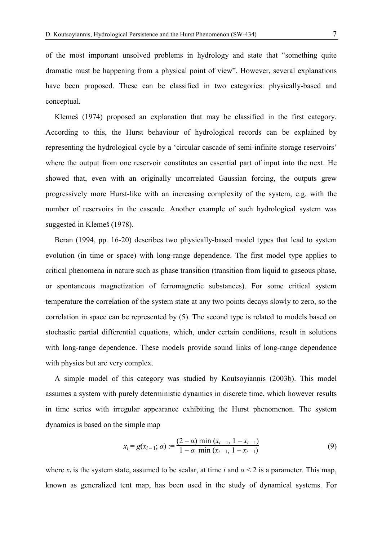of the most important unsolved problems in hydrology and state that "something quite dramatic must be happening from a physical point of view". However, several explanations have been proposed. These can be classified in two categories: physically-based and conceptual.

 Klemeš (1974) proposed an explanation that may be classified in the first category. According to this, the Hurst behaviour of hydrological records can be explained by representing the hydrological cycle by a 'circular cascade of semi-infinite storage reservoirs' where the output from one reservoir constitutes an essential part of input into the next. He showed that, even with an originally uncorrelated Gaussian forcing, the outputs grew progressively more Hurst-like with an increasing complexity of the system, e.g. with the number of reservoirs in the cascade. Another example of such hydrological system was suggested in Klemeš (1978).

 Beran (1994, pp. 16-20) describes two physically-based model types that lead to system evolution (in time or space) with long-range dependence. The first model type applies to critical phenomena in nature such as phase transition (transition from liquid to gaseous phase, or spontaneous magnetization of ferromagnetic substances). For some critical system temperature the correlation of the system state at any two points decays slowly to zero, so the correlation in space can be represented by (5). The second type is related to models based on stochastic partial differential equations, which, under certain conditions, result in solutions with long-range dependence. These models provide sound links of long-range dependence with physics but are very complex.

 A simple model of this category was studied by Koutsoyiannis (2003b). This model assumes a system with purely deterministic dynamics in discrete time, which however results in time series with irregular appearance exhibiting the Hurst phenomenon. The system dynamics is based on the simple map

$$
x_i = g(x_{i-1}; \alpha) := \frac{(2-\alpha) \min(x_{i-1}, 1-x_{i-1})}{1-\alpha \min(x_{i-1}, 1-x_{i-1})}
$$
(9)

where  $x_i$  is the system state, assumed to be scalar, at time *i* and  $\alpha < 2$  is a parameter. This map, known as generalized tent map, has been used in the study of dynamical systems. For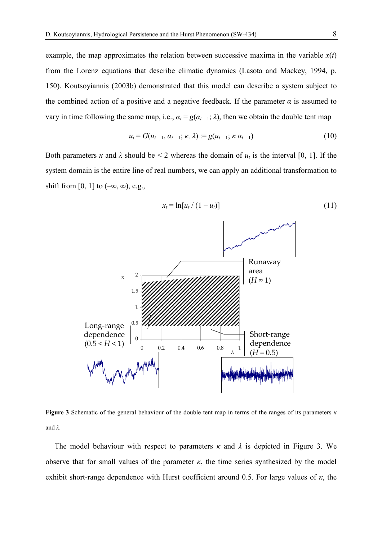example, the map approximates the relation between successive maxima in the variable  $x(t)$ from the Lorenz equations that describe climatic dynamics (Lasota and Mackey, 1994, p. 150). Koutsoyiannis (2003b) demonstrated that this model can describe a system subject to the combined action of a positive and a negative feedback. If the parameter  $\alpha$  is assumed to vary in time following the same map, i.e.,  $a_i = g(a_{i-1}; \lambda)$ , then we obtain the double tent map

$$
u_i = G(u_{i-1}, \alpha_{i-1}; \kappa, \lambda) := g(u_{i-1}; \kappa, \alpha_{i-1})
$$
\n(10)

Both parameters  $\kappa$  and  $\lambda$  should be < 2 whereas the domain of  $u_t$  is the interval [0, 1]. If the system domain is the entire line of real numbers, we can apply an additional transformation to shift from [0, 1] to  $(-\infty, \infty)$ , e.g.,



**Figure 3** Schematic of the general behaviour of the double tent map in terms of the ranges of its parameters *κ* and  $\lambda$ .

The model behaviour with respect to parameters  $\kappa$  and  $\lambda$  is depicted in Figure 3. We observe that for small values of the parameter  $\kappa$ , the time series synthesized by the model exhibit short-range dependence with Hurst coefficient around 0.5. For large values of *κ*, the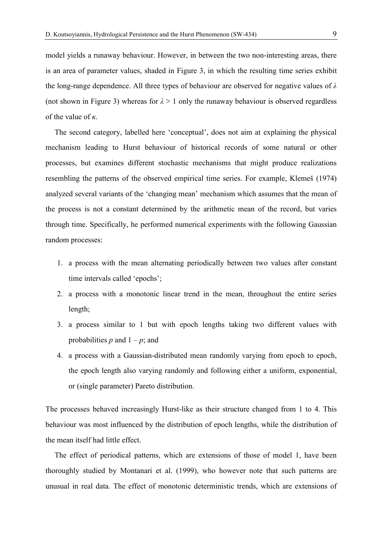model yields a runaway behaviour. However, in between the two non-interesting areas, there is an area of parameter values, shaded in Figure 3, in which the resulting time series exhibit the long-range dependence. All three types of behaviour are observed for negative values of *λ* (not shown in Figure 3) whereas for  $\lambda > 1$  only the runaway behaviour is observed regardless of the value of *κ*.

 The second category, labelled here 'conceptual', does not aim at explaining the physical mechanism leading to Hurst behaviour of historical records of some natural or other processes, but examines different stochastic mechanisms that might produce realizations resembling the patterns of the observed empirical time series. For example, Klemeš (1974) analyzed several variants of the 'changing mean' mechanism which assumes that the mean of the process is not a constant determined by the arithmetic mean of the record, but varies through time. Specifically, he performed numerical experiments with the following Gaussian random processes:

- 1. a process with the mean alternating periodically between two values after constant time intervals called 'epochs';
- 2. a process with a monotonic linear trend in the mean, throughout the entire series length;
- 3. a process similar to 1 but with epoch lengths taking two different values with probabilities  $p$  and  $1 - p$ ; and
- 4. a process with a Gaussian-distributed mean randomly varying from epoch to epoch, the epoch length also varying randomly and following either a uniform, exponential, or (single parameter) Pareto distribution.

The processes behaved increasingly Hurst-like as their structure changed from 1 to 4. This behaviour was most influenced by the distribution of epoch lengths, while the distribution of the mean itself had little effect.

 The effect of periodical patterns, which are extensions of those of model 1, have been thoroughly studied by Montanari et al. (1999), who however note that such patterns are unusual in real data. The effect of monotonic deterministic trends, which are extensions of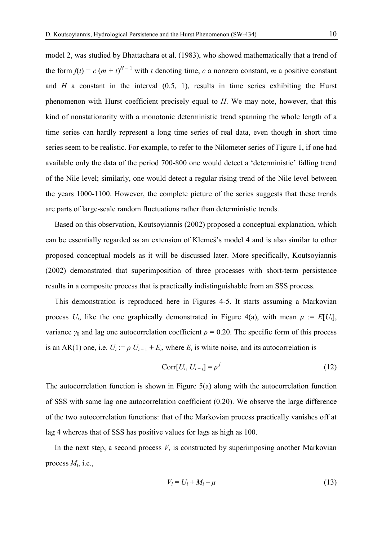model 2, was studied by Bhattachara et al. (1983), who showed mathematically that a trend of the form  $f(t) = c (m + t)^{H-1}$  with *t* denoting time, *c* a nonzero constant, *m* a positive constant and  $H$  a constant in the interval  $(0.5, 1)$ , results in time series exhibiting the Hurst phenomenon with Hurst coefficient precisely equal to *H*. We may note, however, that this kind of nonstationarity with a monotonic deterministic trend spanning the whole length of a time series can hardly represent a long time series of real data, even though in short time series seem to be realistic. For example, to refer to the Nilometer series of Figure 1, if one had available only the data of the period 700-800 one would detect a 'deterministic' falling trend of the Nile level; similarly, one would detect a regular rising trend of the Nile level between the years 1000-1100. However, the complete picture of the series suggests that these trends are parts of large-scale random fluctuations rather than deterministic trends.

 Based on this observation, Koutsoyiannis (2002) proposed a conceptual explanation, which can be essentially regarded as an extension of Klemeš's model 4 and is also similar to other proposed conceptual models as it will be discussed later. More specifically, Koutsoyiannis (2002) demonstrated that superimposition of three processes with short-term persistence results in a composite process that is practically indistinguishable from an SSS process.

 This demonstration is reproduced here in Figures 4-5. It starts assuming a Markovian process  $U_i$ , like the one graphically demonstrated in Figure 4(a), with mean  $\mu := E[U_i]$ , variance  $\gamma_0$  and lag one autocorrelation coefficient  $\rho = 0.20$ . The specific form of this process is an AR(1) one, i.e.  $U_i := \rho U_{i-1} + E_i$ , where  $E_i$  is white noise, and its autocorrelation is

$$
Corr[U_i, U_{i+j}] = \rho^j \tag{12}
$$

The autocorrelation function is shown in Figure 5(a) along with the autocorrelation function of SSS with same lag one autocorrelation coefficient (0.20). We observe the large difference of the two autocorrelation functions: that of the Markovian process practically vanishes off at lag 4 whereas that of SSS has positive values for lags as high as 100.

In the next step, a second process  $V_i$  is constructed by superimposing another Markovian process *Mi*, i.e.,

$$
V_i = U_i + M_i - \mu \tag{13}
$$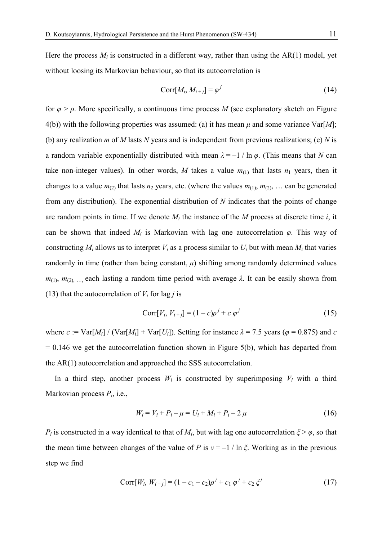Here the process  $M_i$  is constructed in a different way, rather than using the  $AR(1)$  model, yet without loosing its Markovian behaviour, so that its autocorrelation is

$$
Corr[M_i, M_{i+j}] = \varphi^j \tag{14}
$$

for  $\varphi > \rho$ . More specifically, a continuous time process *M* (see explanatory sketch on Figure 4(b)) with the following properties was assumed: (a) it has mean  $\mu$  and some variance Var[M]; (b) any realization *m* of *M* lasts *N* years and is independent from previous realizations; (c) *N* is a random variable exponentially distributed with mean  $\lambda = -1 / \ln \varphi$ . (This means that *N* can take non-integer values). In other words, M takes a value  $m_{(1)}$  that lasts  $n_1$  years, then it changes to a value  $m_{(2)}$  that lasts  $n_2$  years, etc. (where the values  $m_{(1)}$ ,  $m_{(2)}$ , ... can be generated from any distribution). The exponential distribution of *N* indicates that the points of change are random points in time. If we denote  $M_i$  the instance of the  $M$  process at discrete time  $i$ , it can be shown that indeed  $M_i$  is Markovian with lag one autocorrelation  $\varphi$ . This way of constructing  $M_i$  allows us to interpret  $V_i$  as a process similar to  $U_i$  but with mean  $M_i$  that varies randomly in time (rather than being constant,  $\mu$ ) shifting among randomly determined values  $m_{(1)}$ ,  $m_{(2)}$ , ..., each lasting a random time period with average  $\lambda$ . It can be easily shown from (13) that the autocorrelation of  $V_i$  for lag *j* is

$$
Corr[V_i, V_{i+j}] = (1-c)\rho^{j} + c \varphi^{j}
$$
\n(15)

where  $c := \text{Var}[M_i] / (\text{Var}[M_i] + \text{Var}[U_i])$ . Setting for instance  $\lambda = 7.5$  years ( $\varphi = 0.875$ ) and *c*  $= 0.146$  we get the autocorrelation function shown in Figure 5(b), which has departed from the AR(1) autocorrelation and approached the SSS autocorrelation.

In a third step, another process  $W_i$  is constructed by superimposing  $V_i$  with a third Markovian process *Pi*, i.e.,

$$
W_i = V_i + P_i - \mu = U_i + M_i + P_i - 2\mu \tag{16}
$$

*P<sub>i</sub>* is constructed in a way identical to that of  $M_i$ , but with lag one autocorrelation  $\zeta > \varphi$ , so that the mean time between changes of the value of *P* is  $v = -1/\ln \zeta$ . Working as in the previous step we find

$$
Corr[W_i, W_{i+j}] = (1 - c_1 - c_2)\rho^{j} + c_1 \varphi^{j} + c_2 \xi^{j}
$$
\n(17)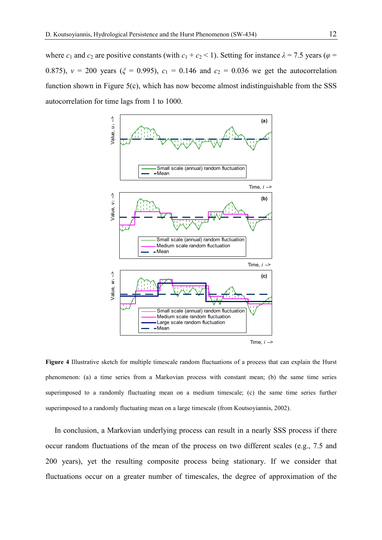where  $c_1$  and  $c_2$  are positive constants (with  $c_1 + c_2 < 1$ ). Setting for instance  $\lambda = 7.5$  years ( $\varphi =$ 0.875),  $v = 200$  years ( $\zeta = 0.995$ ),  $c_1 = 0.146$  and  $c_2 = 0.036$  we get the autocorrelation function shown in Figure 5(c), which has now become almost indistinguishable from the SSS autocorrelation for time lags from 1 to 1000.



**Figure 4** Illustrative sketch for multiple timescale random fluctuations of a process that can explain the Hurst phenomenon: (a) a time series from a Markovian process with constant mean; (b) the same time series superimposed to a randomly fluctuating mean on a medium timescale; (c) the same time series further superimposed to a randomly fluctuating mean on a large timescale (from Koutsoyiannis, 2002).

 In conclusion, a Markovian underlying process can result in a nearly SSS process if there occur random fluctuations of the mean of the process on two different scales (e.g., 7.5 and 200 years), yet the resulting composite process being stationary. If we consider that fluctuations occur on a greater number of timescales, the degree of approximation of the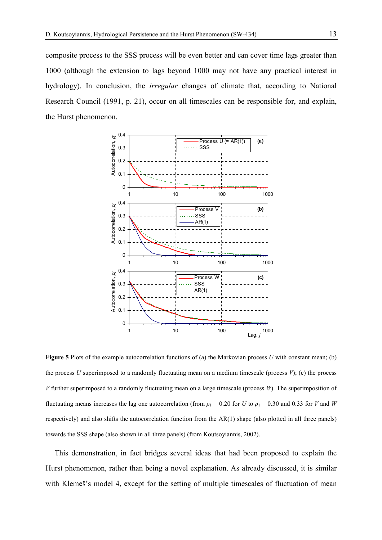composite process to the SSS process will be even better and can cover time lags greater than 1000 (although the extension to lags beyond 1000 may not have any practical interest in hydrology). In conclusion, the *irregular* changes of climate that, according to National Research Council (1991, p. 21), occur on all timescales can be responsible for, and explain, the Hurst phenomenon.



**Figure 5** Plots of the example autocorrelation functions of (a) the Markovian process *U* with constant mean; (b) the process  $U$  superimposed to a randomly fluctuating mean on a medium timescale (process  $V$ ); (c) the process *V* further superimposed to a randomly fluctuating mean on a large timescale (process *W*). The superimposition of fluctuating means increases the lag one autocorrelation (from  $\rho_1 = 0.20$  for *U* to  $\rho_1 = 0.30$  and 0.33 for *V* and *W* respectively) and also shifts the autocorrelation function from the AR(1) shape (also plotted in all three panels) towards the SSS shape (also shown in all three panels) (from Koutsoyiannis, 2002).

 This demonstration, in fact bridges several ideas that had been proposed to explain the Hurst phenomenon, rather than being a novel explanation. As already discussed, it is similar with Klemeš's model 4, except for the setting of multiple timescales of fluctuation of mean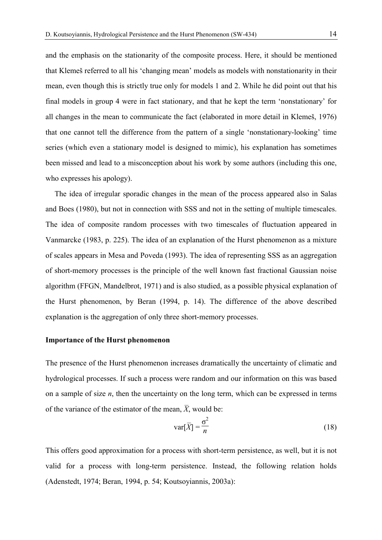and the emphasis on the stationarity of the composite process. Here, it should be mentioned that Klemeš referred to all his 'changing mean' models as models with nonstationarity in their mean, even though this is strictly true only for models 1 and 2. While he did point out that his final models in group 4 were in fact stationary, and that he kept the term 'nonstationary' for all changes in the mean to communicate the fact (elaborated in more detail in Klemeš, 1976) that one cannot tell the difference from the pattern of a single 'nonstationary-looking' time series (which even a stationary model is designed to mimic), his explanation has sometimes been missed and lead to a misconception about his work by some authors (including this one, who expresses his apology).

 The idea of irregular sporadic changes in the mean of the process appeared also in Salas and Boes (1980), but not in connection with SSS and not in the setting of multiple timescales. The idea of composite random processes with two timescales of fluctuation appeared in Vanmarcke (1983, p. 225). The idea of an explanation of the Hurst phenomenon as a mixture of scales appears in Mesa and Poveda (1993). The idea of representing SSS as an aggregation of short-memory processes is the principle of the well known fast fractional Gaussian noise algorithm (FFGN, Mandelbrot, 1971) and is also studied, as a possible physical explanation of the Hurst phenomenon, by Beran (1994, p. 14). The difference of the above described explanation is the aggregation of only three short-memory processes.

## **Importance of the Hurst phenomenon**

The presence of the Hurst phenomenon increases dramatically the uncertainty of climatic and hydrological processes. If such a process were random and our information on this was based on a sample of size *n*, then the uncertainty on the long term, which can be expressed in terms of the variance of the estimator of the mean,  $\overline{X}$ , would be:

$$
\text{var}[\overline{X}] = \frac{\sigma^2}{n} \tag{18}
$$

This offers good approximation for a process with short-term persistence, as well, but it is not valid for a process with long-term persistence. Instead, the following relation holds (Adenstedt, 1974; Beran, 1994, p. 54; Koutsoyiannis, 2003a):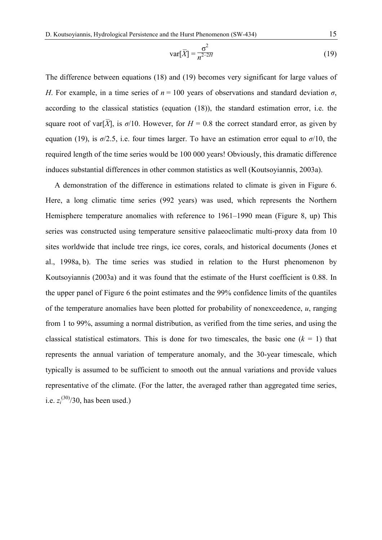$$
\text{var}[\overline{X}] = \frac{\sigma^2}{n^{2-2H}}
$$
 (19)

The difference between equations (18) and (19) becomes very significant for large values of *H*. For example, in a time series of  $n = 100$  years of observations and standard deviation  $\sigma$ , according to the classical statistics (equation (18)), the standard estimation error, i.e. the square root of var[ $\overline{X}$ ], is  $\sigma/10$ . However, for  $H = 0.8$  the correct standard error, as given by equation (19), is  $\sigma/2.5$ , i.e. four times larger. To have an estimation error equal to  $\sigma/10$ , the required length of the time series would be 100 000 years! Obviously, this dramatic difference induces substantial differences in other common statistics as well (Koutsoyiannis, 2003a).

 A demonstration of the difference in estimations related to climate is given in Figure 6. Here, a long climatic time series (992 years) was used, which represents the Northern Hemisphere temperature anomalies with reference to 1961–1990 mean (Figure 8, up) This series was constructed using temperature sensitive palaeoclimatic multi-proxy data from 10 sites worldwide that include tree rings, ice cores, corals, and historical documents (Jones et al., 1998a, b). The time series was studied in relation to the Hurst phenomenon by Koutsoyiannis (2003a) and it was found that the estimate of the Hurst coefficient is 0.88. In the upper panel of Figure 6 the point estimates and the 99% confidence limits of the quantiles of the temperature anomalies have been plotted for probability of nonexceedence, *u*, ranging from 1 to 99%, assuming a normal distribution, as verified from the time series, and using the classical statistical estimators. This is done for two timescales, the basic one  $(k = 1)$  that represents the annual variation of temperature anomaly, and the 30-year timescale, which typically is assumed to be sufficient to smooth out the annual variations and provide values representative of the climate. (For the latter, the averaged rather than aggregated time series, i.e.  $z_i^{(30)}/30$ , has been used.)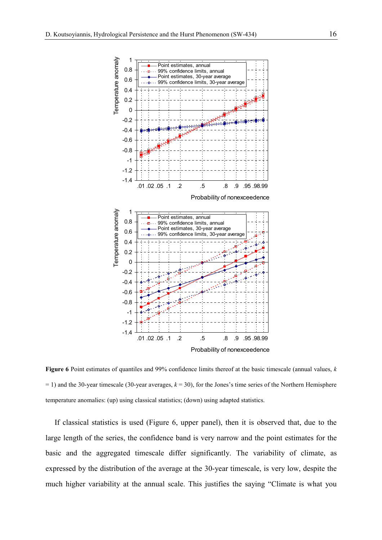

**Figure 6** Point estimates of quantiles and 99% confidence limits thereof at the basic timescale (annual values, *k*  $= 1$ ) and the 30-year timescale (30-year averages,  $k = 30$ ), for the Jones's time series of the Northern Hemisphere temperature anomalies: (up) using classical statistics; (down) using adapted statistics.

 If classical statistics is used (Figure 6, upper panel), then it is observed that, due to the large length of the series, the confidence band is very narrow and the point estimates for the basic and the aggregated timescale differ significantly. The variability of climate, as expressed by the distribution of the average at the 30-year timescale, is very low, despite the much higher variability at the annual scale. This justifies the saying "Climate is what you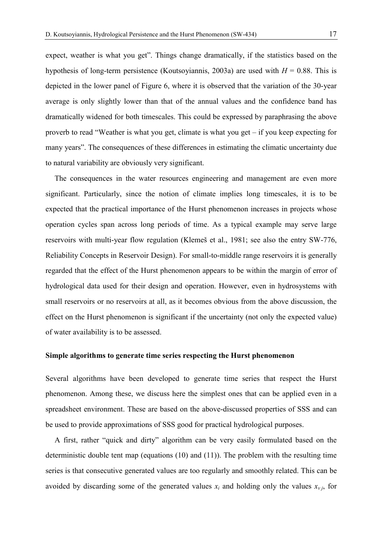expect, weather is what you get". Things change dramatically, if the statistics based on the hypothesis of long-term persistence (Koutsoyiannis, 2003a) are used with  $H = 0.88$ . This is depicted in the lower panel of Figure 6, where it is observed that the variation of the 30-year average is only slightly lower than that of the annual values and the confidence band has dramatically widened for both timescales. This could be expressed by paraphrasing the above proverb to read "Weather is what you get, climate is what you get – if you keep expecting for many years". The consequences of these differences in estimating the climatic uncertainty due to natural variability are obviously very significant.

 The consequences in the water resources engineering and management are even more significant. Particularly, since the notion of climate implies long timescales, it is to be expected that the practical importance of the Hurst phenomenon increases in projects whose operation cycles span across long periods of time. As a typical example may serve large reservoirs with multi-year flow regulation (Klemeš et al., 1981; see also the entry SW-776, Reliability Concepts in Reservoir Design). For small-to-middle range reservoirs it is generally regarded that the effect of the Hurst phenomenon appears to be within the margin of error of hydrological data used for their design and operation. However, even in hydrosystems with small reservoirs or no reservoirs at all, as it becomes obvious from the above discussion, the effect on the Hurst phenomenon is significant if the uncertainty (not only the expected value) of water availability is to be assessed.

## **Simple algorithms to generate time series respecting the Hurst phenomenon**

Several algorithms have been developed to generate time series that respect the Hurst phenomenon. Among these, we discuss here the simplest ones that can be applied even in a spreadsheet environment. These are based on the above-discussed properties of SSS and can be used to provide approximations of SSS good for practical hydrological purposes.

 A first, rather "quick and dirty" algorithm can be very easily formulated based on the deterministic double tent map (equations (10) and (11)). The problem with the resulting time series is that consecutive generated values are too regularly and smoothly related. This can be avoided by discarding some of the generated values  $x_i$  and holding only the values  $x_{\nu i}$ , for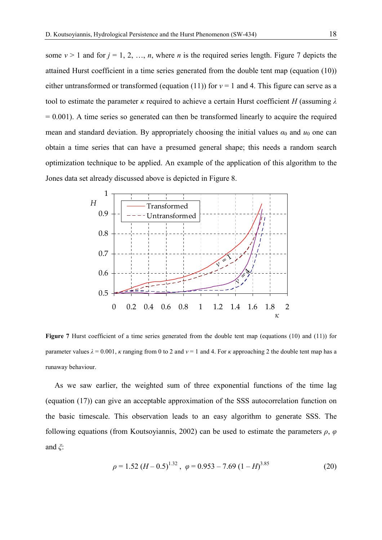some  $v > 1$  and for  $j = 1, 2, ..., n$ , where *n* is the required series length. Figure 7 depicts the attained Hurst coefficient in a time series generated from the double tent map (equation (10)) either untransformed or transformed (equation (11)) for *ν* = 1 and 4. This figure can serve as a tool to estimate the parameter *κ* required to achieve a certain Hurst coefficient *H* (assuming *λ*  $= 0.001$ ). A time series so generated can then be transformed linearly to acquire the required mean and standard deviation. By appropriately choosing the initial values  $\alpha_0$  and  $u_0$  one can obtain a time series that can have a presumed general shape; this needs a random search optimization technique to be applied. An example of the application of this algorithm to the Jones data set already discussed above is depicted in Figure 8.



Figure 7 Hurst coefficient of a time series generated from the double tent map (equations (10) and (11)) for parameter values  $\lambda = 0.001$ , *κ* ranging from 0 to 2 and  $v = 1$  and 4. For *κ* approaching 2 the double tent map has a runaway behaviour.

 As we saw earlier, the weighted sum of three exponential functions of the time lag (equation (17)) can give an acceptable approximation of the SSS autocorrelation function on the basic timescale. This observation leads to an easy algorithm to generate SSS. The following equations (from Koutsoyiannis, 2002) can be used to estimate the parameters *ρ*, *φ* and *ξ*:

$$
\rho = 1.52 \left( H - 0.5 \right)^{1.32}, \ \varphi = 0.953 - 7.69 \left( 1 - H \right)^{3.85} \tag{20}
$$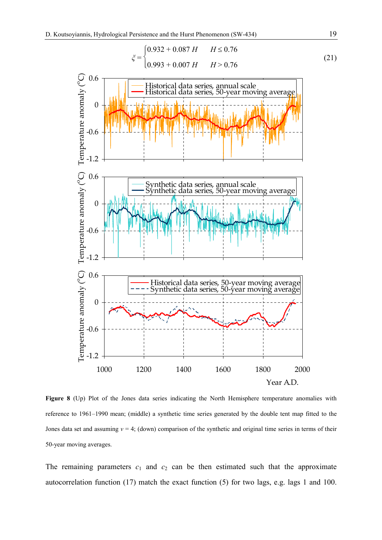$$
\xi = \begin{cases} 0.932 + 0.087 \, H & H \le 0.76 \\ 0.993 + 0.007 \, H & H > 0.76 \end{cases} \tag{21}
$$



**Figure 8** (Up) Plot of the Jones data series indicating the North Hemisphere temperature anomalies with reference to 1961–1990 mean; (middle) a synthetic time series generated by the double tent map fitted to the Jones data set and assuming *ν* = 4; (down) comparison of the synthetic and original time series in terms of their 50-year moving averages.

The remaining parameters  $c_1$  and  $c_2$  can be then estimated such that the approximate autocorrelation function (17) match the exact function (5) for two lags, e.g. lags 1 and 100.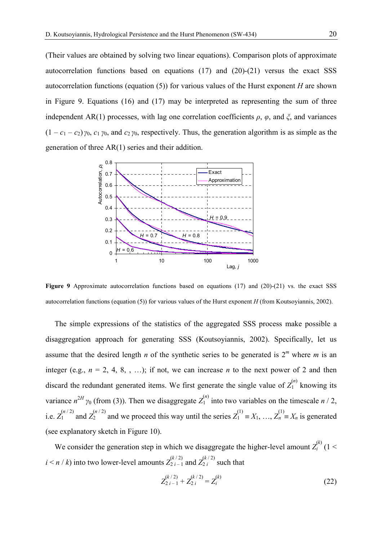(Their values are obtained by solving two linear equations). Comparison plots of approximate autocorrelation functions based on equations (17) and (20)-(21) versus the exact SSS autocorrelation functions (equation (5)) for various values of the Hurst exponent *H* are shown in Figure 9. Equations (16) and (17) may be interpreted as representing the sum of three independent AR(1) processes, with lag one correlation coefficients *ρ*, *φ*, and *ξ*, and variances  $(1 - c_1 - c_2)$   $\gamma_0$ ,  $c_1$   $\gamma_0$ , and  $c_2$   $\gamma_0$ , respectively. Thus, the generation algorithm is as simple as the generation of three AR(1) series and their addition.



**Figure 9** Approximate autocorrelation functions based on equations (17) and (20)-(21) vs. the exact SSS autocorrelation functions (equation (5)) for various values of the Hurst exponent *H* (from Koutsoyiannis, 2002).

 The simple expressions of the statistics of the aggregated SSS process make possible a disaggregation approach for generating SSS (Koutsoyiannis, 2002). Specifically, let us assume that the desired length *n* of the synthetic series to be generated is  $2^m$  where *m* is an integer (e.g.,  $n = 2, 4, 8, \ldots$ ); if not, we can increase *n* to the next power of 2 and then discard the redundant generated items. We first generate the single value of  $Z_1^{(n)}$  knowing its variance  $n^{2H}$   $\gamma_0$  (from (3)). Then we disaggregate  $Z_1^{(n)}$  into two variables on the timescale *n* / 2, i.e.  $Z_1^{(n/2)}$  and  $Z_2^{(n/2)}$  and we proceed this way until the series  $Z_1^{(1)} \equiv X_1, \ldots, Z_n^{(1)} \equiv X_n$  is generated (see explanatory sketch in Figure 10).

We consider the generation step in which we disaggregate the higher-level amount  $Z_i^{(k)}$  (1 <  $i \le n / k$ ) into two lower-level amounts  $Z_{2i-1}^{(k/2)}$  and  $Z_{2i}^{(k/2)}$  such that

$$
Z_{2\ i-1}^{(k/2)} + Z_{2\ i}^{(k/2)} = Z_i^{(k)} \tag{22}
$$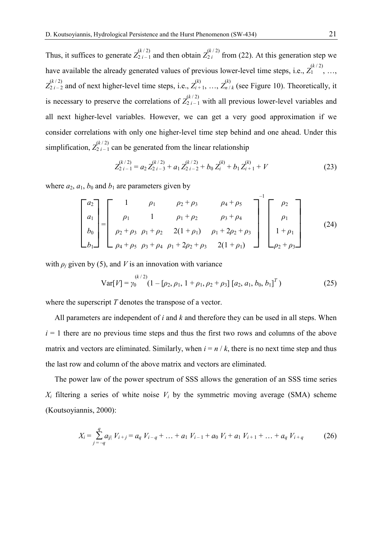Thus, it suffices to generate  $Z_{2i-1}^{(k/2)}$  and then obtain  $Z_{2i}^{(k/2)}$  from (22). At this generation step we have available the already generated values of previous lower-level time steps, i.e.,  $Z_1^{(k/2)}$ , ...,  $Z_{2i-2}^{(k/2)}$  and of next higher-level time steps, i.e.,  $Z_{i+1}^{(k)}$ , ...,  $Z_{n/k}^{(k)}$  (see Figure 10). Theoretically, it is necessary to preserve the correlations of  $Z_{2i-1}^{(k/2)}$  with all previous lower-level variables and all next higher-level variables. However, we can get a very good approximation if we consider correlations with only one higher-level time step behind and one ahead. Under this simplification,  $Z_{2i-1}^{(k/2)}$  can be generated from the linear relationship

$$
Z_{2i-1}^{(k/2)} = a_2 Z_{2i-3}^{(k/2)} + a_1 Z_{2i-2}^{(k/2)} + b_0 Z_i^{(k)} + b_1 Z_{i+1}^{(k)} + V \tag{23}
$$

where  $a_2$ ,  $a_1$ ,  $b_0$  and  $b_1$  are parameters given by

$$
\begin{bmatrix} a_2 \ a_1 \ b_0 \ b_1 \end{bmatrix} = \begin{bmatrix} 1 & \rho_1 & \rho_2 + \rho_3 & \rho_4 + \rho_5 \\ \rho_1 & 1 & \rho_1 + \rho_2 & \rho_3 + \rho_4 \\ \rho_2 + \rho_3 & \rho_1 + \rho_2 & 2(1 + \rho_1) & \rho_1 + 2\rho_2 + \rho_3 \\ \rho_4 + \rho_5 & \rho_3 + \rho_4 & \rho_1 + 2\rho_2 + \rho_3 & 2(1 + \rho_1) \end{bmatrix}^{-1} \begin{bmatrix} \rho_2 \\ \rho_1 \\ 1 + \rho_1 \\ \rho_2 + \rho_3 \end{bmatrix}
$$
 (24)

with  $\rho_i$  given by (5), and *V* is an innovation with variance

Var[
$$
V
$$
] =  $\gamma_0^{(k/2)}$   
(1 – [ $\rho_2$ ,  $\rho_1$ , 1 +  $\rho_1$ ,  $\rho_2$  +  $\rho_3$ ][ $a_2$ ,  $a_1$ ,  $b_0$ ,  $b_1$ ]<sup>T</sup>) (25)

where the superscript *T* denotes the transpose of a vector.

 All parameters are independent of *i* and *k* and therefore they can be used in all steps. When  $i = 1$  there are no previous time steps and thus the first two rows and columns of the above matrix and vectors are eliminated. Similarly, when  $i = n / k$ , there is no next time step and thus the last row and column of the above matrix and vectors are eliminated.

 The power law of the power spectrum of SSS allows the generation of an SSS time series  $X_i$  filtering a series of white noise  $V_i$  by the symmetric moving average (SMA) scheme (Koutsoyiannis, 2000):

$$
X_i = \sum_{j=-q}^{q} a_{j} V_{i+j} = a_q V_{i-q} + \dots + a_1 V_{i-1} + a_0 V_i + a_1 V_{i+1} + \dots + a_q V_{i+q}
$$
 (26)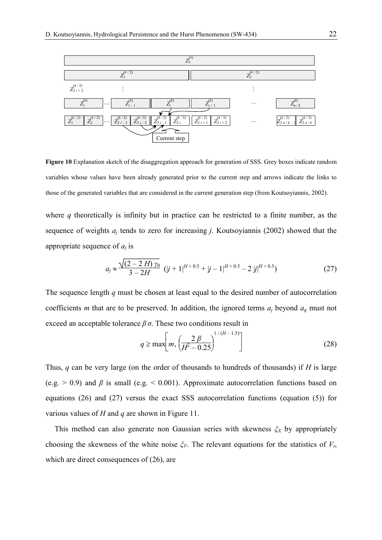

**Figure 10** Explanation sketch of the disaggregation approach for generation of SSS. Grey boxes indicate random variables whose values have been already generated prior to the current step and arrows indicate the links to those of the generated variables that are considered in the current generation step (from Koutsoyiannis, 2002).

where *q* theoretically is infinity but in practice can be restricted to a finite number, as the sequence of weights *aj* tends to zero for increasing *j*. Koutsoyiannis (2002) showed that the appropriate sequence of *aj* is

$$
a_j \approx \frac{\sqrt{(2-2H)\,\gamma_0}}{3-2H} \, (|j+1|^{H+0.5} + |j-1|^{H+0.5} - 2\, |j|^{H+0.5}) \tag{27}
$$

The sequence length *q* must be chosen at least equal to the desired number of autocorrelation coefficients *m* that are to be preserved. In addition, the ignored terms *aj* beyond *aq* must not exceed an acceptable tolerance  $\beta \sigma$ . These two conditions result in

$$
q \ge \max\left[m, \left(\frac{2\beta}{H^2 - 0.25}\right)^{1/(H-1.5)}\right]
$$
 (28)

Thus, *q* can be very large (on the order of thousands to hundreds of thousands) if *H* is large (e.g.  $> 0.9$ ) and  $\beta$  is small (e.g.  $< 0.001$ ). Approximate autocorrelation functions based on equations (26) and (27) versus the exact SSS autocorrelation functions (equation (5)) for various values of *H* and *q* are shown in Figure 11.

This method can also generate non Gaussian series with skewness  $\zeta_X$  by appropriately choosing the skewness of the white noise  $\zeta_V$ . The relevant equations for the statistics of  $V_i$ , which are direct consequences of  $(26)$ , are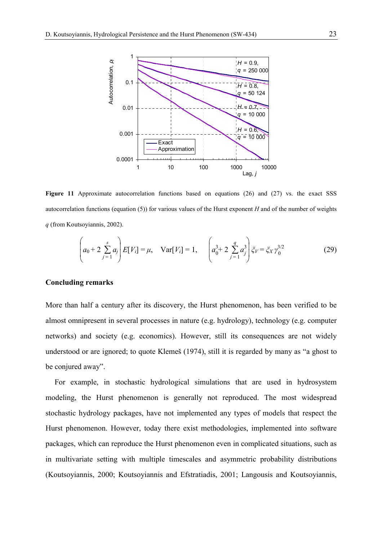

Figure 11 Approximate autocorrelation functions based on equations (26) and (27) vs. the exact SSS autocorrelation functions (equation (5)) for various values of the Hurst exponent *H* and of the number of weights *q* (from Koutsoyiannis, 2002).

$$
\left(a_0 + 2\sum_{j=1}^{s} a_j\right) E[V_i] = \mu, \quad \text{Var}[V_i] = 1, \quad \left(a_0^3 + 2\sum_{j=1}^{q} a_j^3\right) \xi_V = \xi_X \gamma_0^{3/2} \tag{29}
$$

#### **Concluding remarks**

More than half a century after its discovery, the Hurst phenomenon, has been verified to be almost omnipresent in several processes in nature (e.g. hydrology), technology (e.g. computer networks) and society (e.g. economics). However, still its consequences are not widely understood or are ignored; to quote Klemeš (1974), still it is regarded by many as "a ghost to be conjured away".

 For example, in stochastic hydrological simulations that are used in hydrosystem modeling, the Hurst phenomenon is generally not reproduced. The most widespread stochastic hydrology packages, have not implemented any types of models that respect the Hurst phenomenon. However, today there exist methodologies, implemented into software packages, which can reproduce the Hurst phenomenon even in complicated situations, such as in multivariate setting with multiple timescales and asymmetric probability distributions (Koutsoyiannis, 2000; Koutsoyiannis and Efstratiadis, 2001; Langousis and Koutsoyiannis,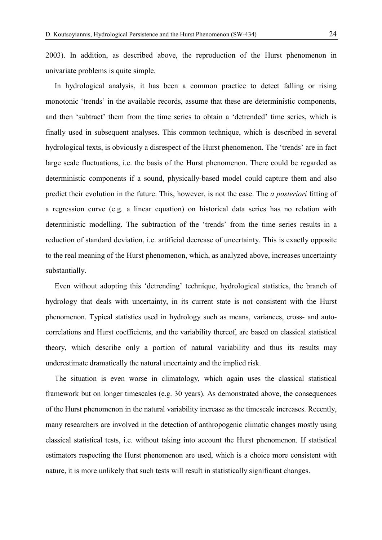2003). In addition, as described above, the reproduction of the Hurst phenomenon in univariate problems is quite simple.

 In hydrological analysis, it has been a common practice to detect falling or rising monotonic 'trends' in the available records, assume that these are deterministic components, and then 'subtract' them from the time series to obtain a 'detrended' time series, which is finally used in subsequent analyses. This common technique, which is described in several hydrological texts, is obviously a disrespect of the Hurst phenomenon. The 'trends' are in fact large scale fluctuations, i.e. the basis of the Hurst phenomenon. There could be regarded as deterministic components if a sound, physically-based model could capture them and also predict their evolution in the future. This, however, is not the case. The *a posteriori* fitting of a regression curve (e.g. a linear equation) on historical data series has no relation with deterministic modelling. The subtraction of the 'trends' from the time series results in a reduction of standard deviation, i.e. artificial decrease of uncertainty. This is exactly opposite to the real meaning of the Hurst phenomenon, which, as analyzed above, increases uncertainty substantially.

 Even without adopting this 'detrending' technique, hydrological statistics, the branch of hydrology that deals with uncertainty, in its current state is not consistent with the Hurst phenomenon. Typical statistics used in hydrology such as means, variances, cross- and autocorrelations and Hurst coefficients, and the variability thereof, are based on classical statistical theory, which describe only a portion of natural variability and thus its results may underestimate dramatically the natural uncertainty and the implied risk.

 The situation is even worse in climatology, which again uses the classical statistical framework but on longer timescales (e.g. 30 years). As demonstrated above, the consequences of the Hurst phenomenon in the natural variability increase as the timescale increases. Recently, many researchers are involved in the detection of anthropogenic climatic changes mostly using classical statistical tests, i.e. without taking into account the Hurst phenomenon. If statistical estimators respecting the Hurst phenomenon are used, which is a choice more consistent with nature, it is more unlikely that such tests will result in statistically significant changes.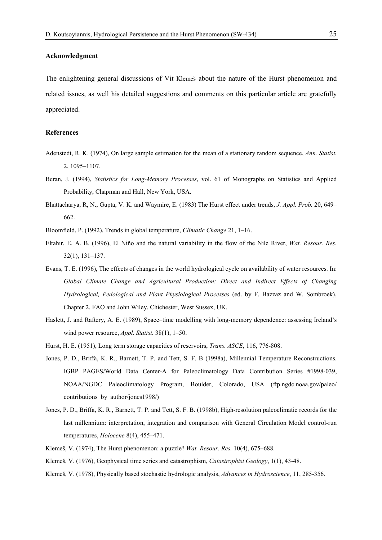#### **Acknowledgment**

The enlightening general discussions of Vit Klemeš about the nature of the Hurst phenomenon and related issues, as well his detailed suggestions and comments on this particular article are gratefully appreciated.

#### **References**

- Adenstedt, R. K. (1974), On large sample estimation for the mean of a stationary random sequence, *Ann. Statist.* 2, 1095–1107.
- Beran, J. (1994), *Statistics for Long-Memory Processes*, vol. 61 of Monographs on Statistics and Applied Probability, Chapman and Hall, New York, USA.
- Bhattacharya, R, N., Gupta, V. K. and Waymire, E. (1983) The Hurst effect under trends, *J. Appl. Prob.* 20, 649– 662.

Bloomfield, P. (1992), Trends in global temperature, *Climatic Change* 21, 1–16.

- Eltahir, E. A. B. (1996), El Niño and the natural variability in the flow of the Nile River, *Wat. Resour. Res.* 32(1), 131–137.
- Evans, T. E. (1996), The effects of changes in the world hydrological cycle on availability of water resources. In: *Global Climate Change and Agricultural Production: Direct and Indirect Effects of Changing Hydrological, Pedological and Plant Physiological Processes* (ed. by F. Bazzaz and W. Sombroek), Chapter 2, FAO and John Wiley, Chichester, West Sussex, UK.
- Haslett, J. and Raftery, A. E. (1989), Space–time modelling with long-memory dependence: assessing Ireland's wind power resource, *Appl. Statist.* 38(1), 1–50.
- Hurst, H. E. (1951), Long term storage capacities of reservoirs, *Trans. ASCE*, 116, 776-808.
- Jones, P. D., Briffa, K. R., Barnett, T. P. and Tett, S. F. B (1998a), Millennial Temperature Reconstructions. IGBP PAGES/World Data Center-A for Paleoclimatology Data Contribution Series #1998-039, NOAA/NGDC Paleoclimatology Program, Boulder, Colorado, USA (ftp.ngdc.noaa.gov/paleo/ contributions by author/jones1998/)
- Jones, P. D., Briffa, K. R., Barnett, T. P. and Tett, S. F. B. (1998b), High-resolution paleoclimatic records for the last millennium: interpretation, integration and comparison with General Circulation Model control-run temperatures, *Holocene* 8(4), 455–471.
- Klemeš, V. (1974), The Hurst phenomenon: a puzzle? *Wat. Resour. Res.* 10(4), 675–688.
- Klemeš, V. (1976), Geophysical time series and catastrophism, *Catastrophist Geology*, 1(1), 43-48.
- Klemeš, V. (1978), Physically based stochastic hydrologic analysis, *Advances in Hydroscience*, 11, 285-356.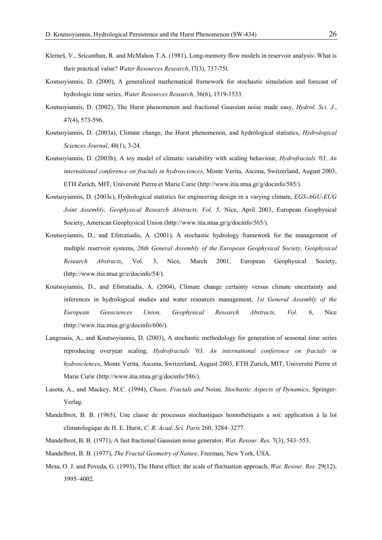- Klemeš, V., Sricanthan, R. and McMahon T.A. (1981), Long-memory flow models in reservoir analysis: What is their practical value? *Water Resources Research*, l7(3), 737-75l.
- Koutsoyiannis, D. (2000), A generalized mathematical framework for stochastic simulation and forecast of hydrologic time series, *Water Resources Research,* 36(6), 1519-1533.
- Koutsoyiannis, D. (2002), The Hurst phenomenon and fractional Gaussian noise made easy, *Hydrol. Sci. J.*, 47(4), 573-596.
- Koutsoyiannis, D. (2003a), Climate change, the Hurst phenomenon, and hydrological statistics, *Hydrological Sciences Journal*, 48(1), 3-24.
- Koutsoyiannis, D. (2003b), A toy model of climatic variability with scaling behaviour, *Hydrofractals '03, An international conference on fractals in hydrosciences*, Monte Verita, Ascona, Switzerland, August 2003, ETH Zurich, MIT, Université Pierre et Marie Curie (http://www.itia.ntua.gr/g/docinfo/585/).
- Koutsoyiannis, D. (2003c), Hydrological statistics for engineering design in a varying climate, *EGS-AGU-EUG Joint Assembly, Geophysical Research Abstracts, Vol. 5*, Nice, April 2003, European Geophysical Society, American Geophysical Union (http://www.itia.ntua.gr/g/docinfo/565/).
- Koutsoyiannis, D., and Efstratiadis, A. (2001), A stochastic hydrology framework for the management of multiple reservoir systems, *26th General Assembly of the European Geophysical Society, Geophysical Research Abstracts*, Vol. 3, Nice, March 2001, European Geophysical Society, (http://www.itia.ntua.gr/e/docinfo/54/).
- Koutsoyiannis, D., and Efstratiadis, A. (2004), Climate change certainty versus climate uncertainty and inferences in hydrological studies and water resources management, *1st General Assembly of the European Geosciences Union, Geophysical Research Abstracts, Vol. 6*, Nice (http://www.itia.ntua.gr/g/docinfo/606/).
- Langousis, A., and Koutsoyiannis, D. (2003), A stochastic methodology for generation of seasonal time series reproducing overyear scaling, *Hydrofractals '03, An international conference on fractals in hydrosciences*, Monte Verita, Ascona, Switzerland, August 2003, ETH Zurich, MIT, Université Pierre et Marie Curie (http://www.itia.ntua.gr/g/docinfo/586/).
- Lasota, A., and Mackey, M.C. (1994), *Chaos, Fractals and* Noise*, Stochastic Aspects of Dynamics*, Springer-Verlag.
- Mandelbrot, B. B. (1965), Une classe de processus stochastiques homothétiques a soi: application à la loi climatologique de H. E. Hurst, *C. R. Acad. Sci. Paris* 260, 3284–3277.
- Mandelbrot, B. B. (1971), A fast fractional Gaussian noise generator, *Wat. Resour. Res.* 7(3), 543–553.
- Mandelbrot, B. B. (1977), *The Fractal Geometry of Nature*, Freeman, New York, USA.
- Mesa, O. J. and Poveda, G. (1993), The Hurst effect: the scale of fluctuation approach, *Wat. Resour. Res.* 29(12), 3995–4002.